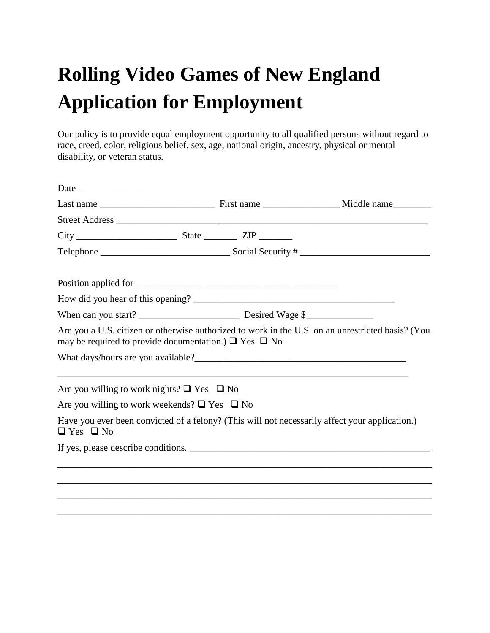## **Rolling Video Games of New England Application for Employment**

Our policy is to provide equal employment opportunity to all qualified persons without regard to race, creed, color, religious belief, sex, age, national origin, ancestry, physical or mental disability, or veteran status.

| $City$ $XIP$ $XIP$                                              |  |  |                                                                                                   |  |  |
|-----------------------------------------------------------------|--|--|---------------------------------------------------------------------------------------------------|--|--|
|                                                                 |  |  |                                                                                                   |  |  |
|                                                                 |  |  |                                                                                                   |  |  |
|                                                                 |  |  |                                                                                                   |  |  |
|                                                                 |  |  |                                                                                                   |  |  |
| may be required to provide documentation.) $\Box$ Yes $\Box$ No |  |  | Are you a U.S. citizen or otherwise authorized to work in the U.S. on an unrestricted basis? (You |  |  |
|                                                                 |  |  |                                                                                                   |  |  |
| Are you willing to work nights? $\Box$ Yes $\Box$ No            |  |  |                                                                                                   |  |  |
| Are you willing to work weekends? $\Box$ Yes $\Box$ No          |  |  |                                                                                                   |  |  |
| $\Box$ Yes $\Box$ No                                            |  |  | Have you ever been convicted of a felony? (This will not necessarily affect your application.)    |  |  |
|                                                                 |  |  |                                                                                                   |  |  |
|                                                                 |  |  |                                                                                                   |  |  |
|                                                                 |  |  |                                                                                                   |  |  |
|                                                                 |  |  |                                                                                                   |  |  |

\_\_\_\_\_\_\_\_\_\_\_\_\_\_\_\_\_\_\_\_\_\_\_\_\_\_\_\_\_\_\_\_\_\_\_\_\_\_\_\_\_\_\_\_\_\_\_\_\_\_\_\_\_\_\_\_\_\_\_\_\_\_\_\_\_\_\_\_\_\_\_\_\_\_\_\_\_\_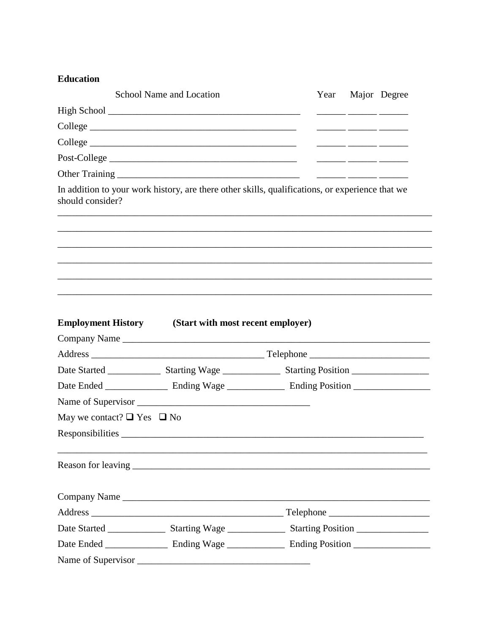## **Education**

|                                      | School Name and Location                                                                        | Year Major Degree |  |
|--------------------------------------|-------------------------------------------------------------------------------------------------|-------------------|--|
|                                      |                                                                                                 |                   |  |
|                                      |                                                                                                 |                   |  |
|                                      |                                                                                                 |                   |  |
|                                      | Post-College                                                                                    |                   |  |
|                                      |                                                                                                 |                   |  |
| should consider?                     | In addition to your work history, are there other skills, qualifications, or experience that we |                   |  |
|                                      |                                                                                                 |                   |  |
|                                      |                                                                                                 |                   |  |
|                                      |                                                                                                 |                   |  |
|                                      |                                                                                                 |                   |  |
|                                      | <b>Employment History</b> (Start with most recent employer)                                     |                   |  |
|                                      |                                                                                                 |                   |  |
|                                      |                                                                                                 |                   |  |
|                                      |                                                                                                 |                   |  |
|                                      |                                                                                                 |                   |  |
|                                      |                                                                                                 |                   |  |
| May we contact? $\Box$ Yes $\Box$ No |                                                                                                 |                   |  |
|                                      |                                                                                                 |                   |  |
|                                      |                                                                                                 |                   |  |
|                                      |                                                                                                 |                   |  |
|                                      | Company Name                                                                                    |                   |  |
|                                      |                                                                                                 |                   |  |
|                                      |                                                                                                 |                   |  |
|                                      |                                                                                                 |                   |  |
|                                      |                                                                                                 |                   |  |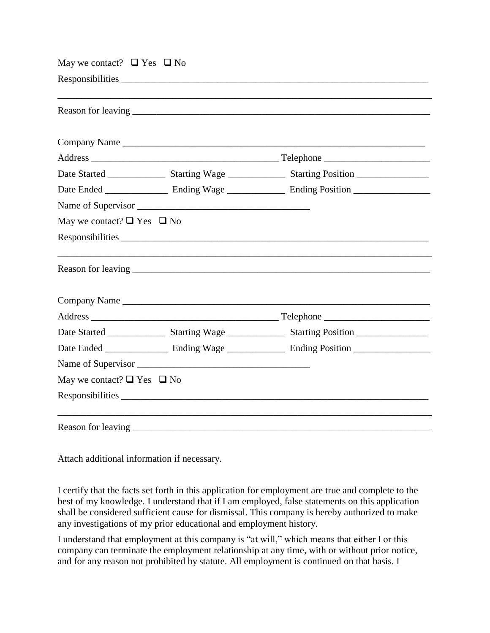| May we contact? $\Box$ Yes $\Box$ No |  |              |  |  |  |
|--------------------------------------|--|--------------|--|--|--|
|                                      |  |              |  |  |  |
|                                      |  |              |  |  |  |
|                                      |  |              |  |  |  |
|                                      |  |              |  |  |  |
|                                      |  |              |  |  |  |
|                                      |  |              |  |  |  |
|                                      |  |              |  |  |  |
| May we contact? $\Box$ Yes $\Box$ No |  |              |  |  |  |
|                                      |  |              |  |  |  |
|                                      |  |              |  |  |  |
|                                      |  | Company Name |  |  |  |
|                                      |  |              |  |  |  |
|                                      |  |              |  |  |  |
|                                      |  |              |  |  |  |
|                                      |  |              |  |  |  |
| May we contact? $\Box$ Yes $\Box$ No |  |              |  |  |  |
|                                      |  |              |  |  |  |
| Reason for leaving                   |  |              |  |  |  |

Attach additional information if necessary.

I certify that the facts set forth in this application for employment are true and complete to the best of my knowledge. I understand that if I am employed, false statements on this application shall be considered sufficient cause for dismissal. This company is hereby authorized to make any investigations of my prior educational and employment history.

I understand that employment at this company is "at will," which means that either I or this company can terminate the employment relationship at any time, with or without prior notice, and for any reason not prohibited by statute. All employment is continued on that basis. I